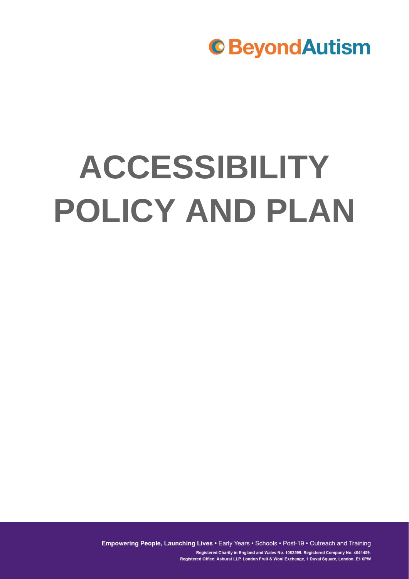# **ACCESSIBILITY POLICY AND PLAN**

Empowering People, Launching Lives . Early Years . Schools . Post-19 . Outreach and Training Registered Charity in England and Wales No. 1082599. Registered Company No. 4041459. Registered Office: Ashurst LLP, London Fruit & Wool Exchange, 1 Duval Square, London, E1 6PW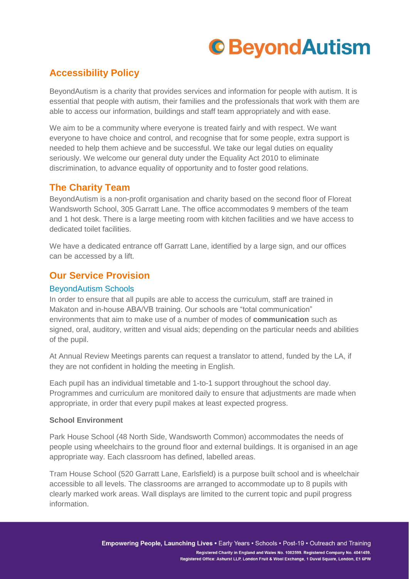### **Accessibility Policy**

BeyondAutism is a charity that provides services and information for people with autism. It is essential that people with autism, their families and the professionals that work with them are able to access our information, buildings and staff team appropriately and with ease.

We aim to be a community where everyone is treated fairly and with respect. We want everyone to have choice and control, and recognise that for some people, extra support is needed to help them achieve and be successful. We take our legal duties on equality seriously. We welcome our general duty under the Equality Act 2010 to eliminate discrimination, to advance equality of opportunity and to foster good relations.

### **The Charity Team**

BeyondAutism is a non-profit organisation and charity based on the second floor of Floreat Wandsworth School, 305 Garratt Lane. The office accommodates 9 members of the team and 1 hot desk. There is a large meeting room with kitchen facilities and we have access to dedicated toilet facilities.

We have a dedicated entrance off Garratt Lane, identified by a large sign, and our offices can be accessed by a lift.

### **Our Service Provision**

#### BeyondAutism Schools

In order to ensure that all pupils are able to access the curriculum, staff are trained in Makaton and in-house ABA/VB training. Our schools are "total communication" environments that aim to make use of a number of modes of **communication** such as signed, oral, auditory, written and visual aids; depending on the particular needs and abilities of the pupil.

At Annual Review Meetings parents can request a translator to attend, funded by the LA, if they are not confident in holding the meeting in English.

Each pupil has an individual timetable and 1-to-1 support throughout the school day. Programmes and curriculum are monitored daily to ensure that adjustments are made when appropriate, in order that every pupil makes at least expected progress.

#### **School Environment**

Park House School (48 North Side, Wandsworth Common) accommodates the needs of people using wheelchairs to the ground floor and external buildings. It is organised in an age appropriate way. Each classroom has defined, labelled areas.

Tram House School (520 Garratt Lane, Earlsfield) is a purpose built school and is wheelchair accessible to all levels. The classrooms are arranged to accommodate up to 8 pupils with clearly marked work areas. Wall displays are limited to the current topic and pupil progress information.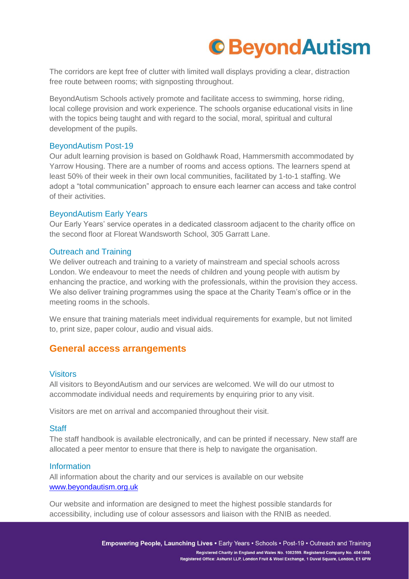The corridors are kept free of clutter with limited wall displays providing a clear, distraction free route between rooms; with signposting throughout.

BeyondAutism Schools actively promote and facilitate access to swimming, horse riding, local college provision and work experience. The schools organise educational visits in line with the topics being taught and with regard to the social, moral, spiritual and cultural development of the pupils.

#### BeyondAutism Post-19

Our adult learning provision is based on Goldhawk Road, Hammersmith accommodated by Yarrow Housing. There are a number of rooms and access options. The learners spend at least 50% of their week in their own local communities, facilitated by 1-to-1 staffing. We adopt a "total communication" approach to ensure each learner can access and take control of their activities.

#### BeyondAutism Early Years

Our Early Years' service operates in a dedicated classroom adjacent to the charity office on the second floor at Floreat Wandsworth School, 305 Garratt Lane.

#### Outreach and Training

We deliver outreach and training to a variety of mainstream and special schools across London. We endeavour to meet the needs of children and young people with autism by enhancing the practice, and working with the professionals, within the provision they access. We also deliver training programmes using the space at the Charity Team's office or in the meeting rooms in the schools.

We ensure that training materials meet individual requirements for example, but not limited to, print size, paper colour, audio and visual aids.

#### **General access arrangements**

#### Visitors

All visitors to BeyondAutism and our services are welcomed. We will do our utmost to accommodate individual needs and requirements by enquiring prior to any visit.

Visitors are met on arrival and accompanied throughout their visit.

#### **Staff**

The staff handbook is available electronically, and can be printed if necessary. New staff are allocated a peer mentor to ensure that there is help to navigate the organisation.

#### Information

All information about the charity and our services is available on our website [www.beyondautism.org.uk](http://www.beyondautism.org.uk/)

Our website and information are designed to meet the highest possible standards for accessibility, including use of colour assessors and liaison with the RNIB as needed.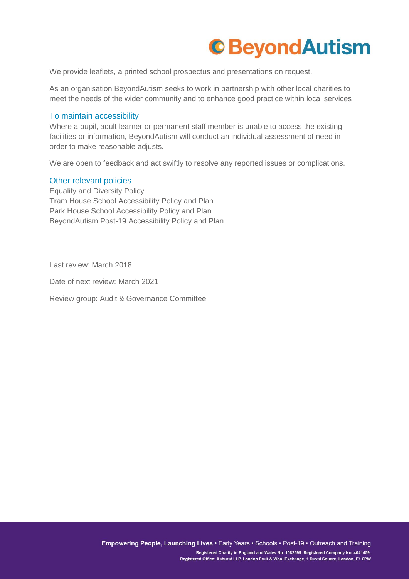

We provide leaflets, a printed school prospectus and presentations on request.

As an organisation BeyondAutism seeks to work in partnership with other local charities to meet the needs of the wider community and to enhance good practice within local services

#### To maintain accessibility

Where a pupil, adult learner or permanent staff member is unable to access the existing facilities or information, BeyondAutism will conduct an individual assessment of need in order to make reasonable adjusts.

We are open to feedback and act swiftly to resolve any reported issues or complications.

#### Other relevant policies

Equality and Diversity Policy Tram House School Accessibility Policy and Plan Park House School Accessibility Policy and Plan BeyondAutism Post-19 Accessibility Policy and Plan

Last review: March 2018

Date of next review: March 2021

Review group: Audit & Governance Committee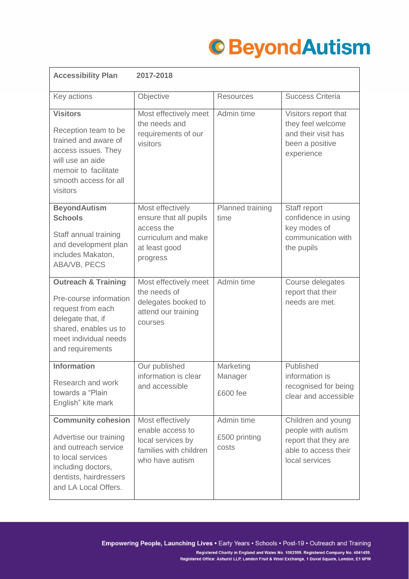| <b>Accessibility Plan</b>                                                                                                                                                | 2017-2018                                                                                                    |                                      |                                                                                                            |
|--------------------------------------------------------------------------------------------------------------------------------------------------------------------------|--------------------------------------------------------------------------------------------------------------|--------------------------------------|------------------------------------------------------------------------------------------------------------|
| Key actions                                                                                                                                                              | Objective                                                                                                    | <b>Resources</b>                     | <b>Success Criteria</b>                                                                                    |
| <b>Visitors</b><br>Reception team to be<br>trained and aware of<br>access issues. They<br>will use an aide<br>memoir to facilitate<br>smooth access for all<br>visitors  | Most effectively meet<br>the needs and<br>requirements of our<br>visitors                                    | Admin time                           | Visitors report that<br>they feel welcome<br>and their visit has<br>been a positive<br>experience          |
| <b>BeyondAutism</b><br><b>Schools</b><br>Staff annual training<br>and development plan<br>includes Makaton,<br>ABA/VB, PECS                                              | Most effectively<br>ensure that all pupils<br>access the<br>curriculum and make<br>at least good<br>progress | Planned training<br>time             | Staff report<br>confidence in using<br>key modes of<br>communication with<br>the pupils                    |
| <b>Outreach &amp; Training</b><br>Pre-course information<br>request from each<br>delegate that, if<br>shared, enables us to<br>meet individual needs<br>and requirements | Most effectively meet<br>the needs of<br>delegates booked to<br>attend our training<br>courses               | Admin time                           | Course delegates<br>report that their<br>needs are met.                                                    |
| <b>Information</b><br>Research and work<br>towards a "Plain<br>English" kite mark                                                                                        | Our published<br>information is clear<br>and accessible                                                      | Marketing<br>Manager<br>£600 fee     | Published<br>information is<br>recognised for being<br>clear and accessible                                |
| <b>Community cohesion</b><br>Advertise our training<br>and outreach service<br>to local services<br>including doctors,<br>dentists, hairdressers<br>and LA Local Offers. | Most effectively<br>enable access to<br>local services by<br>families with children<br>who have autism       | Admin time<br>£500 printing<br>costs | Children and young<br>people with autism<br>report that they are<br>able to access their<br>local services |

Empowering People, Launching Lives · Early Years · Schools · Post-19 · Outreach and Training Registered Charity in England and Wales No. 1082599. Registered Company No. 4041459. Registered Office: Ashurst LLP, London Fruit & Wool Exchange, 1 Duval Square, London, E1 6PW